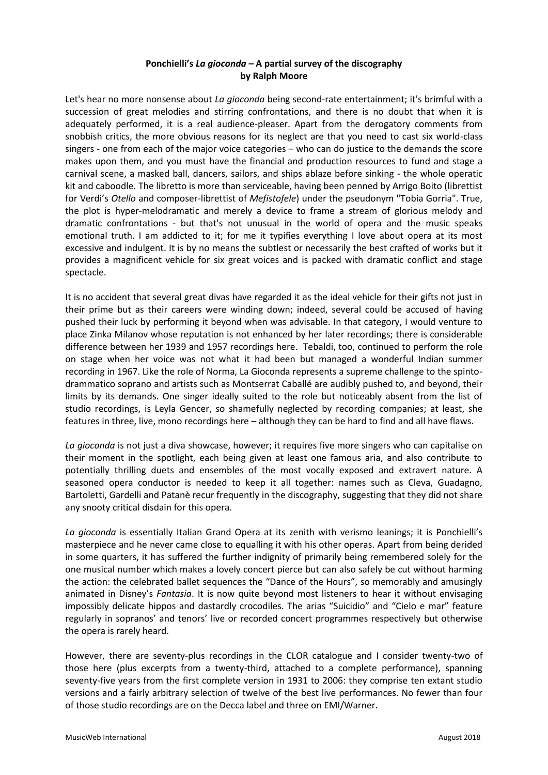# **Ponchielli's** *La gioconda* **– A partial survey of the discography by Ralph Moore**

Let's hear no more nonsense about *La gioconda* being second-rate entertainment; it's brimful with a succession of great melodies and stirring confrontations, and there is no doubt that when it is adequately performed, it is a real audience-pleaser. Apart from the derogatory comments from snobbish critics, the more obvious reasons for its neglect are that you need to cast six world-class singers - one from each of the major voice categories – who can do justice to the demands the score makes upon them, and you must have the financial and production resources to fund and stage a carnival scene, a masked ball, dancers, sailors, and ships ablaze before sinking - the whole operatic kit and caboodle. The libretto is more than serviceable, having been penned by Arrigo Boito (librettist for Verdi's *Otello* and composer-librettist of *Mefistofele*) under the pseudonym "Tobia Gorria". True, the plot is hyper-melodramatic and merely a device to frame a stream of glorious melody and dramatic confrontations - but that's not unusual in the world of opera and the music speaks emotional truth. I am addicted to it; for me it typifies everything I love about opera at its most excessive and indulgent. It is by no means the subtlest or necessarily the best crafted of works but it provides a magnificent vehicle for six great voices and is packed with dramatic conflict and stage spectacle.

It is no accident that several great divas have regarded it as the ideal vehicle for their gifts not just in their prime but as their careers were winding down; indeed, several could be accused of having pushed their luck by performing it beyond when was advisable. In that category, I would venture to place Zinka Milanov whose reputation is not enhanced by her later recordings; there is considerable difference between her 1939 and 1957 recordings here. Tebaldi, too, continued to perform the role on stage when her voice was not what it had been but managed a wonderful Indian summer recording in 1967. Like the role of Norma, La Gioconda represents a supreme challenge to the spintodrammatico soprano and artists such as Montserrat Caballé are audibly pushed to, and beyond, their limits by its demands. One singer ideally suited to the role but noticeably absent from the list of studio recordings, is Leyla Gencer, so shamefully neglected by recording companies; at least, she features in three, live, mono recordings here – although they can be hard to find and all have flaws.

*La gioconda* is not just a diva showcase, however; it requires five more singers who can capitalise on their moment in the spotlight, each being given at least one famous aria, and also contribute to potentially thrilling duets and ensembles of the most vocally exposed and extravert nature. A seasoned opera conductor is needed to keep it all together: names such as Cleva, Guadagno, Bartoletti, Gardelli and Patanè recur frequently in the discography, suggesting that they did not share any snooty critical disdain for this opera.

*La gioconda* is essentially Italian Grand Opera at its zenith with verismo leanings; it is Ponchielli's masterpiece and he never came close to equalling it with his other operas. Apart from being derided in some quarters, it has suffered the further indignity of primarily being remembered solely for the one musical number which makes a lovely concert pierce but can also safely be cut without harming the action: the celebrated ballet sequences the "Dance of the Hours", so memorably and amusingly animated in Disney's *Fantasia*. It is now quite beyond most listeners to hear it without envisaging impossibly delicate hippos and dastardly crocodiles. The arias "Suicidio" and "Cielo e mar" feature regularly in sopranos' and tenors' live or recorded concert programmes respectively but otherwise the opera is rarely heard.

However, there are seventy-plus recordings in the CLOR catalogue and I consider twenty-two of those here (plus excerpts from a twenty-third, attached to a complete performance), spanning seventy-five years from the first complete version in 1931 to 2006: they comprise ten extant studio versions and a fairly arbitrary selection of twelve of the best live performances. No fewer than four of those studio recordings are on the Decca label and three on EMI/Warner.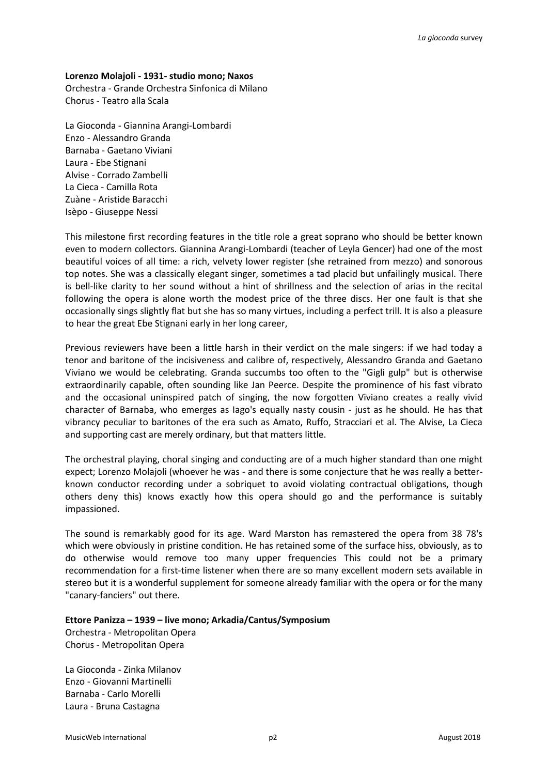# **Lorenzo Molajoli - 1931- studio mono; Naxos**

Orchestra - Grande Orchestra Sinfonica di Milano Chorus - Teatro alla Scala

La Gioconda - Giannina Arangi-Lombardi Enzo - Alessandro Granda Barnaba - Gaetano Viviani Laura - Ebe Stignani Alvise - Corrado Zambelli La Cieca - Camilla Rota Zuàne - Aristide Baracchi Isèpo - Giuseppe Nessi

This milestone first recording features in the title role a great soprano who should be better known even to modern collectors. Giannina Arangi-Lombardi (teacher of Leyla Gencer) had one of the most beautiful voices of all time: a rich, velvety lower register (she retrained from mezzo) and sonorous top notes. She was a classically elegant singer, sometimes a tad placid but unfailingly musical. There is bell-like clarity to her sound without a hint of shrillness and the selection of arias in the recital following the opera is alone worth the modest price of the three discs. Her one fault is that she occasionally sings slightly flat but she has so many virtues, including a perfect trill. It is also a pleasure to hear the great Ebe Stignani early in her long career,

Previous reviewers have been a little harsh in their verdict on the male singers: if we had today a tenor and baritone of the incisiveness and calibre of, respectively, Alessandro Granda and Gaetano Viviano we would be celebrating. Granda succumbs too often to the "Gigli gulp" but is otherwise extraordinarily capable, often sounding like Jan Peerce. Despite the prominence of his fast vibrato and the occasional uninspired patch of singing, the now forgotten Viviano creates a really vivid character of Barnaba, who emerges as Iago's equally nasty cousin - just as he should. He has that vibrancy peculiar to baritones of the era such as Amato, Ruffo, Stracciari et al. The Alvise, La Cieca and supporting cast are merely ordinary, but that matters little.

The orchestral playing, choral singing and conducting are of a much higher standard than one might expect; Lorenzo Molajoli (whoever he was - and there is some conjecture that he was really a betterknown conductor recording under a sobriquet to avoid violating contractual obligations, though others deny this) knows exactly how this opera should go and the performance is suitably impassioned.

The sound is remarkably good for its age. Ward Marston has remastered the opera from 38 78's which were obviously in pristine condition. He has retained some of the surface hiss, obviously, as to do otherwise would remove too many upper frequencies This could not be a primary recommendation for a first-time listener when there are so many excellent modern sets available in stereo but it is a wonderful supplement for someone already familiar with the opera or for the many "canary-fanciers" out there.

**Ettore Panizza – 1939 – live mono; Arkadia/Cantus/Symposium** 

Orchestra - Metropolitan Opera Chorus - Metropolitan Opera

La Gioconda - Zinka Milanov Enzo - Giovanni Martinelli Barnaba - Carlo Morelli Laura - Bruna Castagna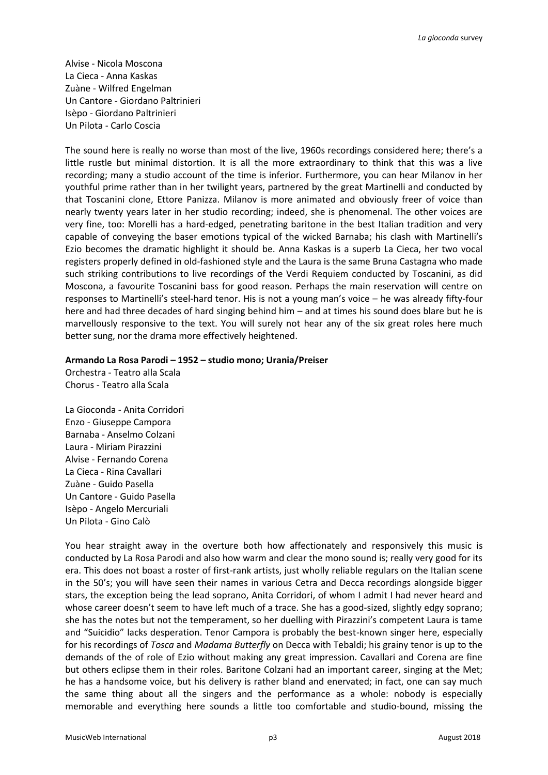Alvise - Nicola Moscona La Cieca - Anna Kaskas Zuàne - Wilfred Engelman Un Cantore - Giordano Paltrinieri Isèpo - Giordano Paltrinieri Un Pilota - Carlo Coscia

The sound here is really no worse than most of the live, 1960s recordings considered here; there's a little rustle but minimal distortion. It is all the more extraordinary to think that this was a live recording; many a studio account of the time is inferior. Furthermore, you can hear Milanov in her youthful prime rather than in her twilight years, partnered by the great Martinelli and conducted by that Toscanini clone, Ettore Panizza. Milanov is more animated and obviously freer of voice than nearly twenty years later in her studio recording; indeed, she is phenomenal. The other voices are very fine, too: Morelli has a hard-edged, penetrating baritone in the best Italian tradition and very capable of conveying the baser emotions typical of the wicked Barnaba; his clash with Martinelli's Ezio becomes the dramatic highlight it should be. Anna Kaskas is a superb La Cieca, her two vocal registers properly defined in old-fashioned style and the Laura is the same Bruna Castagna who made such striking contributions to live recordings of the Verdi Requiem conducted by Toscanini, as did Moscona, a favourite Toscanini bass for good reason. Perhaps the main reservation will centre on responses to Martinelli's steel-hard tenor. His is not a young man's voice – he was already fifty-four here and had three decades of hard singing behind him – and at times his sound does blare but he is marvellously responsive to the text. You will surely not hear any of the six great roles here much better sung, nor the drama more effectively heightened.

#### **Armando La Rosa Parodi – 1952 – studio mono; Urania/Preiser**

Orchestra - Teatro alla Scala Chorus - Teatro alla Scala

La Gioconda - Anita Corridori Enzo - Giuseppe Campora Barnaba - Anselmo Colzani Laura - Miriam Pirazzini Alvise - Fernando Corena La Cieca - Rina Cavallari Zuàne - Guido Pasella Un Cantore - Guido Pasella Isèpo - Angelo Mercuriali Un Pilota - Gino Calò

You hear straight away in the overture both how affectionately and responsively this music is conducted by La Rosa Parodi and also how warm and clear the mono sound is; really very good for its era. This does not boast a roster of first-rank artists, just wholly reliable regulars on the Italian scene in the 50's; you will have seen their names in various Cetra and Decca recordings alongside bigger stars, the exception being the lead soprano, Anita Corridori, of whom I admit I had never heard and whose career doesn't seem to have left much of a trace. She has a good-sized, slightly edgy soprano; she has the notes but not the temperament, so her duelling with Pirazzini's competent Laura is tame and "Suicidio" lacks desperation. Tenor Campora is probably the best-known singer here, especially for his recordings of *Tosca* and *Madama Butterfly* on Decca with Tebaldi; his grainy tenor is up to the demands of the of role of Ezio without making any great impression. Cavallari and Corena are fine but others eclipse them in their roles. Baritone Colzani had an important career, singing at the Met; he has a handsome voice, but his delivery is rather bland and enervated; in fact, one can say much the same thing about all the singers and the performance as a whole: nobody is especially memorable and everything here sounds a little too comfortable and studio-bound, missing the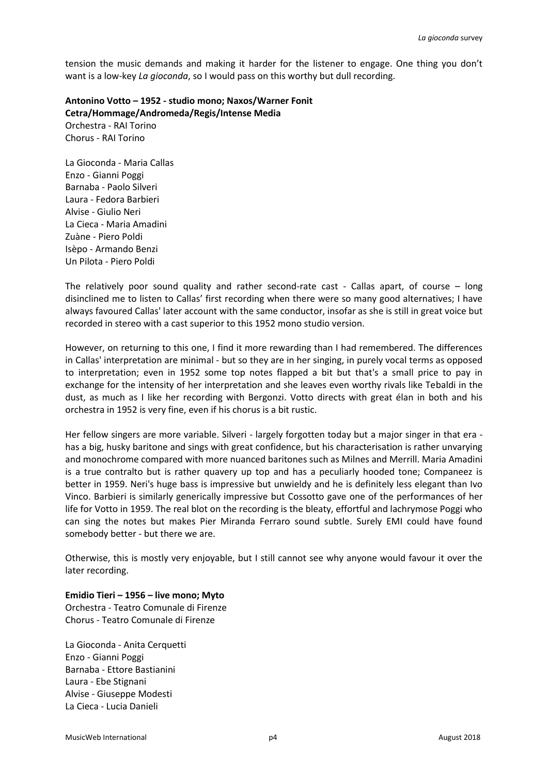tension the music demands and making it harder for the listener to engage. One thing you don't want is a low-key *La gioconda*, so I would pass on this worthy but dull recording.

**Antonino Votto – 1952 - studio mono; Naxos/Warner Fonit Cetra/Hommage/Andromeda/Regis/Intense Media**  Orchestra - RAI Torino Chorus - RAI Torino

La Gioconda - Maria Callas Enzo - Gianni Poggi Barnaba - Paolo Silveri Laura - Fedora Barbieri Alvise - Giulio Neri La Cieca - Maria Amadini Zuàne - Piero Poldi Isèpo - Armando Benzi Un Pilota - Piero Poldi

The relatively poor sound quality and rather second-rate cast - Callas apart, of course – long disinclined me to listen to Callas' first recording when there were so many good alternatives; I have always favoured Callas' later account with the same conductor, insofar as she is still in great voice but recorded in stereo with a cast superior to this 1952 mono studio version.

However, on returning to this one, I find it more rewarding than I had remembered. The differences in Callas' interpretation are minimal - but so they are in her singing, in purely vocal terms as opposed to interpretation; even in 1952 some top notes flapped a bit but that's a small price to pay in exchange for the intensity of her interpretation and she leaves even worthy rivals like Tebaldi in the dust, as much as I like her recording with Bergonzi. Votto directs with great élan in both and his orchestra in 1952 is very fine, even if his chorus is a bit rustic.

Her fellow singers are more variable. Silveri - largely forgotten today but a major singer in that era has a big, husky baritone and sings with great confidence, but his characterisation is rather unvarying and monochrome compared with more nuanced baritones such as Milnes and Merrill. Maria Amadini is a true contralto but is rather quavery up top and has a peculiarly hooded tone; Companeez is better in 1959. Neri's huge bass is impressive but unwieldy and he is definitely less elegant than Ivo Vinco. Barbieri is similarly generically impressive but Cossotto gave one of the performances of her life for Votto in 1959. The real blot on the recording is the bleaty, effortful and lachrymose Poggi who can sing the notes but makes Pier Miranda Ferraro sound subtle. Surely EMI could have found somebody better - but there we are.

Otherwise, this is mostly very enjoyable, but I still cannot see why anyone would favour it over the later recording.

# **Emidio Tieri – 1956 – live mono; Myto**

Orchestra - Teatro Comunale di Firenze Chorus - Teatro Comunale di Firenze

La Gioconda - Anita Cerquetti Enzo - Gianni Poggi Barnaba - Ettore Bastianini Laura - Ebe Stignani Alvise - Giuseppe Modesti La Cieca - Lucia Danieli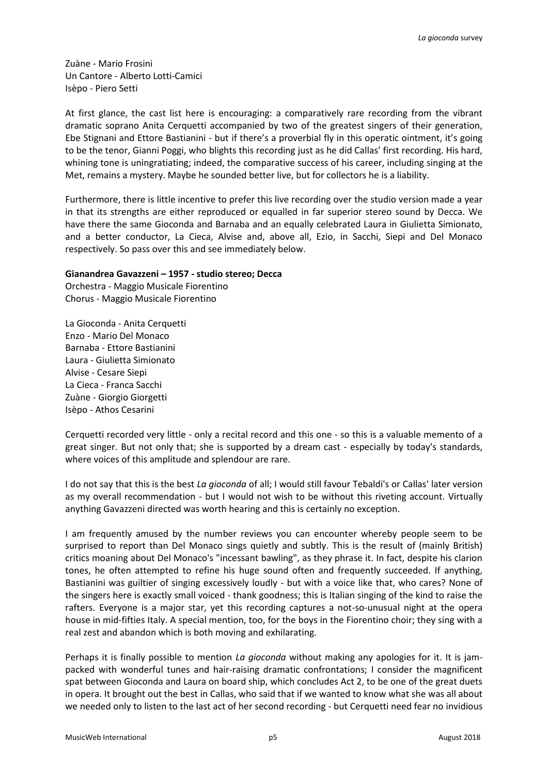Zuàne - Mario Frosini Un Cantore - Alberto Lotti-Camici Isèpo - Piero Setti

At first glance, the cast list here is encouraging: a comparatively rare recording from the vibrant dramatic soprano Anita Cerquetti accompanied by two of the greatest singers of their generation, Ebe Stignani and Ettore Bastianini - but if there's a proverbial fly in this operatic ointment, it's going to be the tenor, Gianni Poggi, who blights this recording just as he did Callas' first recording. His hard, whining tone is uningratiating; indeed, the comparative success of his career, including singing at the Met, remains a mystery. Maybe he sounded better live, but for collectors he is a liability.

Furthermore, there is little incentive to prefer this live recording over the studio version made a year in that its strengths are either reproduced or equalled in far superior stereo sound by Decca. We have there the same Gioconda and Barnaba and an equally celebrated Laura in Giulietta Simionato, and a better conductor, La Cieca, Alvise and, above all, Ezio, in Sacchi, Siepi and Del Monaco respectively. So pass over this and see immediately below.

# **Gianandrea Gavazzeni – 1957 - studio stereo; Decca**

Orchestra - Maggio Musicale Fiorentino Chorus - Maggio Musicale Fiorentino

La Gioconda - Anita Cerquetti Enzo - Mario Del Monaco Barnaba - Ettore Bastianini Laura - Giulietta Simionato Alvise - Cesare Siepi La Cieca - Franca Sacchi Zuàne - Giorgio Giorgetti Isèpo - Athos Cesarini

Cerquetti recorded very little - only a recital record and this one - so this is a valuable memento of a great singer. But not only that; she is supported by a dream cast - especially by today's standards, where voices of this amplitude and splendour are rare.

I do not say that this is the best *La gioconda* of all; I would still favour Tebaldi's or Callas' later version as my overall recommendation - but I would not wish to be without this riveting account. Virtually anything Gavazzeni directed was worth hearing and this is certainly no exception.

I am frequently amused by the number reviews you can encounter whereby people seem to be surprised to report than Del Monaco sings quietly and subtly. This is the result of (mainly British) critics moaning about Del Monaco's "incessant bawling", as they phrase it. In fact, despite his clarion tones, he often attempted to refine his huge sound often and frequently succeeded. If anything, Bastianini was guiltier of singing excessively loudly - but with a voice like that, who cares? None of the singers here is exactly small voiced - thank goodness; this is Italian singing of the kind to raise the rafters. Everyone is a major star, yet this recording captures a not-so-unusual night at the opera house in mid-fifties Italy. A special mention, too, for the boys in the Fiorentino choir; they sing with a real zest and abandon which is both moving and exhilarating.

Perhaps it is finally possible to mention *La gioconda* without making any apologies for it. It is jampacked with wonderful tunes and hair-raising dramatic confrontations; I consider the magnificent spat between Gioconda and Laura on board ship, which concludes Act 2, to be one of the great duets in opera. It brought out the best in Callas, who said that if we wanted to know what she was all about we needed only to listen to the last act of her second recording - but Cerquetti need fear no invidious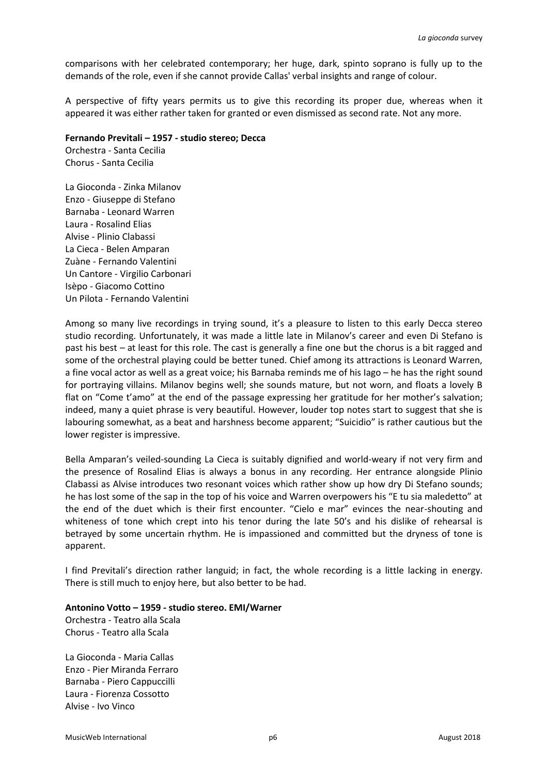comparisons with her celebrated contemporary; her huge, dark, spinto soprano is fully up to the demands of the role, even if she cannot provide Callas' verbal insights and range of colour.

A perspective of fifty years permits us to give this recording its proper due, whereas when it appeared it was either rather taken for granted or even dismissed as second rate. Not any more.

### **Fernando Previtali – 1957 - studio stereo; Decca**

Orchestra - Santa Cecilia Chorus - Santa Cecilia

La Gioconda - Zinka Milanov Enzo - Giuseppe di Stefano Barnaba - Leonard Warren Laura - Rosalind Elias Alvise - Plinio Clabassi La Cieca - Belen Amparan Zuàne - Fernando Valentini Un Cantore - Virgilio Carbonari Isèpo - Giacomo Cottino Un Pilota - Fernando Valentini

Among so many live recordings in trying sound, it's a pleasure to listen to this early Decca stereo studio recording. Unfortunately, it was made a little late in Milanov's career and even Di Stefano is past his best – at least for this role. The cast is generally a fine one but the chorus is a bit ragged and some of the orchestral playing could be better tuned. Chief among its attractions is Leonard Warren, a fine vocal actor as well as a great voice; his Barnaba reminds me of his Iago – he has the right sound for portraying villains. Milanov begins well; she sounds mature, but not worn, and floats a lovely B flat on "Come t'amo" at the end of the passage expressing her gratitude for her mother's salvation; indeed, many a quiet phrase is very beautiful. However, louder top notes start to suggest that she is labouring somewhat, as a beat and harshness become apparent; "Suicidio" is rather cautious but the lower register is impressive.

Bella Amparan's veiled-sounding La Cieca is suitably dignified and world-weary if not very firm and the presence of Rosalind Elias is always a bonus in any recording. Her entrance alongside Plinio Clabassi as Alvise introduces two resonant voices which rather show up how dry Di Stefano sounds; he has lost some of the sap in the top of his voice and Warren overpowers his "E tu sia maledetto" at the end of the duet which is their first encounter. "Cielo e mar" evinces the near-shouting and whiteness of tone which crept into his tenor during the late 50's and his dislike of rehearsal is betrayed by some uncertain rhythm. He is impassioned and committed but the dryness of tone is apparent.

I find Previtali's direction rather languid; in fact, the whole recording is a little lacking in energy. There is still much to enjoy here, but also better to be had.

#### **Antonino Votto – 1959 - studio stereo. EMI/Warner**

Orchestra - Teatro alla Scala Chorus - Teatro alla Scala

La Gioconda - Maria Callas Enzo - Pier Miranda Ferraro Barnaba - Piero Cappuccilli Laura - Fiorenza Cossotto Alvise - Ivo Vinco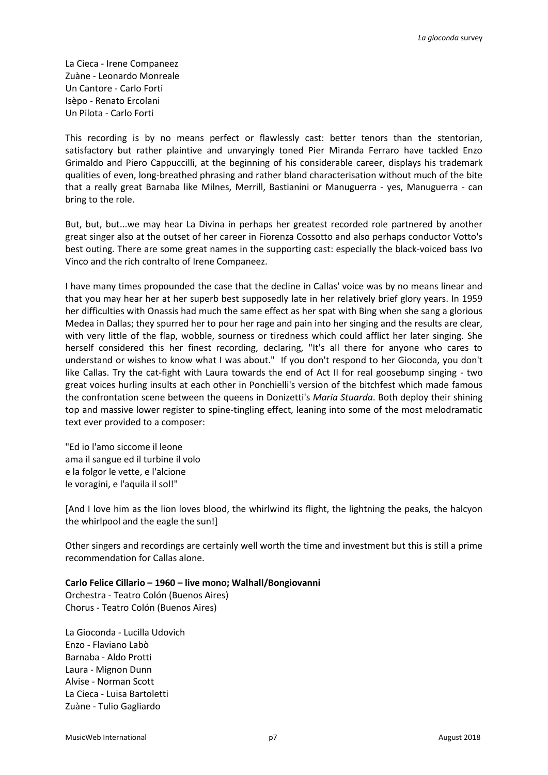La Cieca - Irene Companeez Zuàne - Leonardo Monreale Un Cantore - Carlo Forti Isèpo - Renato Ercolani Un Pilota - Carlo Forti

This recording is by no means perfect or flawlessly cast: better tenors than the stentorian, satisfactory but rather plaintive and unvaryingly toned Pier Miranda Ferraro have tackled Enzo Grimaldo and Piero Cappuccilli, at the beginning of his considerable career, displays his trademark qualities of even, long-breathed phrasing and rather bland characterisation without much of the bite that a really great Barnaba like Milnes, Merrill, Bastianini or Manuguerra - yes, Manuguerra - can bring to the role.

But, but, but...we may hear La Divina in perhaps her greatest recorded role partnered by another great singer also at the outset of her career in Fiorenza Cossotto and also perhaps conductor Votto's best outing. There are some great names in the supporting cast: especially the black-voiced bass Ivo Vinco and the rich contralto of Irene Companeez.

I have many times propounded the case that the decline in Callas' voice was by no means linear and that you may hear her at her superb best supposedly late in her relatively brief glory years. In 1959 her difficulties with Onassis had much the same effect as her spat with Bing when she sang a glorious Medea in Dallas; they spurred her to pour her rage and pain into her singing and the results are clear, with very little of the flap, wobble, sourness or tiredness which could afflict her later singing. She herself considered this her finest recording, declaring, "It's all there for anyone who cares to understand or wishes to know what I was about." If you don't respond to her Gioconda, you don't like Callas. Try the cat-fight with Laura towards the end of Act II for real goosebump singing - two great voices hurling insults at each other in Ponchielli's version of the bitchfest which made famous the confrontation scene between the queens in Donizetti's *Maria Stuarda*. Both deploy their shining top and massive lower register to spine-tingling effect, leaning into some of the most melodramatic text ever provided to a composer:

"Ed io l'amo siccome il leone ama il sangue ed il turbine il volo e la folgor le vette, e l'alcione le voragini, e l'aquila il sol!"

[And I love him as the lion loves blood, the whirlwind its flight, the lightning the peaks, the halcyon the whirlpool and the eagle the sun!]

Other singers and recordings are certainly well worth the time and investment but this is still a prime recommendation for Callas alone.

**Carlo Felice Cillario – 1960 – live mono; Walhall/Bongiovanni**

Orchestra - Teatro Colón (Buenos Aires) Chorus - Teatro Colón (Buenos Aires)

La Gioconda - Lucilla Udovich Enzo - Flaviano Labò Barnaba - Aldo Protti Laura - Mignon Dunn Alvise - Norman Scott La Cieca - Luisa Bartoletti Zuàne - Tulio Gagliardo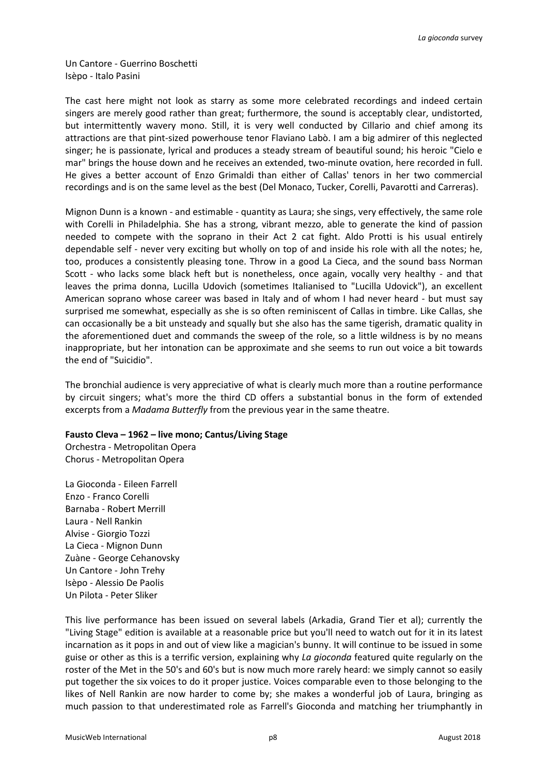Un Cantore - Guerrino Boschetti Isèpo - Italo Pasini

The cast here might not look as starry as some more celebrated recordings and indeed certain singers are merely good rather than great; furthermore, the sound is acceptably clear, undistorted, but intermittently wavery mono. Still, it is very well conducted by Cillario and chief among its attractions are that pint-sized powerhouse tenor Flaviano Labò. I am a big admirer of this neglected singer; he is passionate, lyrical and produces a steady stream of beautiful sound; his heroic "Cielo e mar" brings the house down and he receives an extended, two-minute ovation, here recorded in full. He gives a better account of Enzo Grimaldi than either of Callas' tenors in her two commercial recordings and is on the same level as the best (Del Monaco, Tucker, Corelli, Pavarotti and Carreras).

Mignon Dunn is a known - and estimable - quantity as Laura; she sings, very effectively, the same role with Corelli in Philadelphia. She has a strong, vibrant mezzo, able to generate the kind of passion needed to compete with the soprano in their Act 2 cat fight. Aldo Protti is his usual entirely dependable self - never very exciting but wholly on top of and inside his role with all the notes; he, too, produces a consistently pleasing tone. Throw in a good La Cieca, and the sound bass Norman Scott - who lacks some black heft but is nonetheless, once again, vocally very healthy - and that leaves the prima donna, Lucilla Udovich (sometimes Italianised to "Lucilla Udovick"), an excellent American soprano whose career was based in Italy and of whom I had never heard - but must say surprised me somewhat, especially as she is so often reminiscent of Callas in timbre. Like Callas, she can occasionally be a bit unsteady and squally but she also has the same tigerish, dramatic quality in the aforementioned duet and commands the sweep of the role, so a little wildness is by no means inappropriate, but her intonation can be approximate and she seems to run out voice a bit towards the end of "Suicidio".

The bronchial audience is very appreciative of what is clearly much more than a routine performance by circuit singers; what's more the third CD offers a substantial bonus in the form of extended excerpts from a *Madama Butterfly* from the previous year in the same theatre.

#### **Fausto Cleva – 1962 – live mono; Cantus/Living Stage**

Orchestra - Metropolitan Opera Chorus - Metropolitan Opera

La Gioconda - Eileen Farrell Enzo - Franco Corelli Barnaba - Robert Merrill Laura - Nell Rankin Alvise - Giorgio Tozzi La Cieca - Mignon Dunn Zuàne - George Cehanovsky Un Cantore - John Trehy Isèpo - Alessio De Paolis Un Pilota - Peter Sliker

This live performance has been issued on several labels (Arkadia, Grand Tier et al); currently the "Living Stage" edition is available at a reasonable price but you'll need to watch out for it in its latest incarnation as it pops in and out of view like a magician's bunny. It will continue to be issued in some guise or other as this is a terrific version, explaining why *La gioconda* featured quite regularly on the roster of the Met in the 50's and 60's but is now much more rarely heard: we simply cannot so easily put together the six voices to do it proper justice. Voices comparable even to those belonging to the likes of Nell Rankin are now harder to come by; she makes a wonderful job of Laura, bringing as much passion to that underestimated role as Farrell's Gioconda and matching her triumphantly in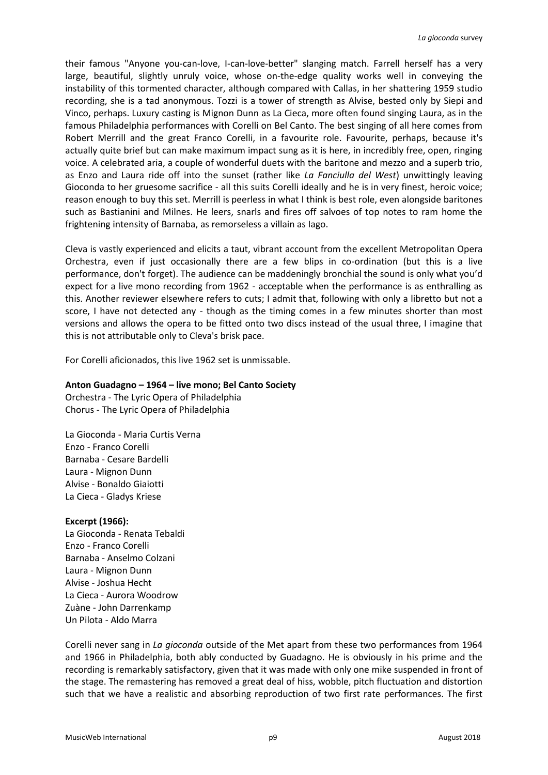their famous "Anyone you-can-love, I-can-love-better" slanging match. Farrell herself has a very large, beautiful, slightly unruly voice, whose on-the-edge quality works well in conveying the instability of this tormented character, although compared with Callas, in her shattering 1959 studio recording, she is a tad anonymous. Tozzi is a tower of strength as Alvise, bested only by Siepi and Vinco, perhaps. Luxury casting is Mignon Dunn as La Cieca, more often found singing Laura, as in the famous Philadelphia performances with Corelli on Bel Canto. The best singing of all here comes from Robert Merrill and the great Franco Corelli, in a favourite role. Favourite, perhaps, because it's actually quite brief but can make maximum impact sung as it is here, in incredibly free, open, ringing voice. A celebrated aria, a couple of wonderful duets with the baritone and mezzo and a superb trio, as Enzo and Laura ride off into the sunset (rather like *La Fanciulla del West*) unwittingly leaving Gioconda to her gruesome sacrifice - all this suits Corelli ideally and he is in very finest, heroic voice; reason enough to buy this set. Merrill is peerless in what I think is best role, even alongside baritones such as Bastianini and Milnes. He leers, snarls and fires off salvoes of top notes to ram home the frightening intensity of Barnaba, as remorseless a villain as Iago.

Cleva is vastly experienced and elicits a taut, vibrant account from the excellent Metropolitan Opera Orchestra, even if just occasionally there are a few blips in co-ordination (but this is a live performance, don't forget). The audience can be maddeningly bronchial the sound is only what you'd expect for a live mono recording from 1962 - acceptable when the performance is as enthralling as this. Another reviewer elsewhere refers to cuts; I admit that, following with only a libretto but not a score, I have not detected any - though as the timing comes in a few minutes shorter than most versions and allows the opera to be fitted onto two discs instead of the usual three, I imagine that this is not attributable only to Cleva's brisk pace.

For Corelli aficionados, this live 1962 set is unmissable.

### **Anton Guadagno – 1964 – live mono; Bel Canto Society**

Orchestra - The Lyric Opera of Philadelphia Chorus - The Lyric Opera of Philadelphia

La Gioconda - Maria Curtis Verna Enzo - Franco Corelli Barnaba - Cesare Bardelli Laura - Mignon Dunn Alvise - Bonaldo Giaiotti La Cieca - Gladys Kriese

# **Excerpt (1966):**

La Gioconda - Renata Tebaldi Enzo - Franco Corelli Barnaba - Anselmo Colzani Laura - Mignon Dunn Alvise - Joshua Hecht La Cieca - Aurora Woodrow Zuàne - John Darrenkamp Un Pilota - Aldo Marra

Corelli never sang in *La gioconda* outside of the Met apart from these two performances from 1964 and 1966 in Philadelphia, both ably conducted by Guadagno. He is obviously in his prime and the recording is remarkably satisfactory, given that it was made with only one mike suspended in front of the stage. The remastering has removed a great deal of hiss, wobble, pitch fluctuation and distortion such that we have a realistic and absorbing reproduction of two first rate performances. The first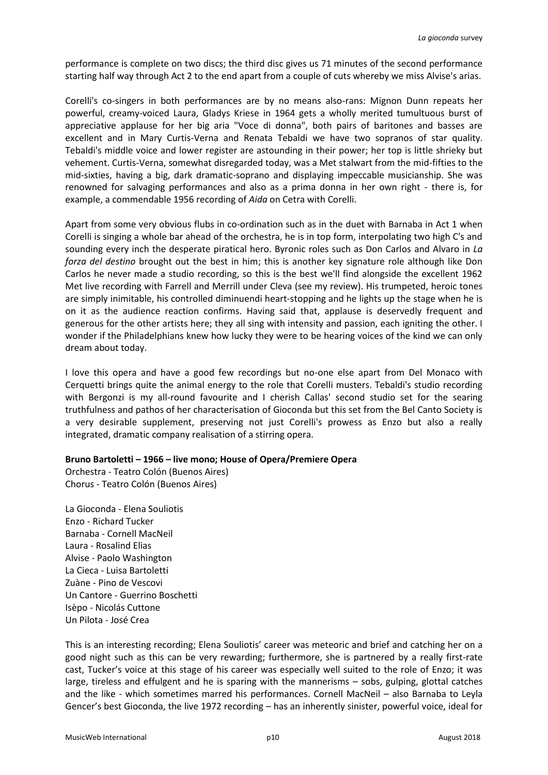performance is complete on two discs; the third disc gives us 71 minutes of the second performance starting half way through Act 2 to the end apart from a couple of cuts whereby we miss Alvise's arias.

Corelli's co-singers in both performances are by no means also-rans: Mignon Dunn repeats her powerful, creamy-voiced Laura, Gladys Kriese in 1964 gets a wholly merited tumultuous burst of appreciative applause for her big aria "Voce di donna", both pairs of baritones and basses are excellent and in Mary Curtis-Verna and Renata Tebaldi we have two sopranos of star quality. Tebaldi's middle voice and lower register are astounding in their power; her top is little shrieky but vehement. Curtis-Verna, somewhat disregarded today, was a Met stalwart from the mid-fifties to the mid-sixties, having a big, dark dramatic-soprano and displaying impeccable musicianship. She was renowned for salvaging performances and also as a prima donna in her own right - there is, for example, a commendable 1956 recording of *Aida* on Cetra with Corelli.

Apart from some very obvious flubs in co-ordination such as in the duet with Barnaba in Act 1 when Corelli is singing a whole bar ahead of the orchestra, he is in top form, interpolating two high C's and sounding every inch the desperate piratical hero. Byronic roles such as Don Carlos and Alvaro in *La forza del destino* brought out the best in him; this is another key signature role although like Don Carlos he never made a studio recording, so this is the best we'll find alongside the excellent 1962 Met live recording with Farrell and Merrill under Cleva (see my review). His trumpeted, heroic tones are simply inimitable, his controlled diminuendi heart-stopping and he lights up the stage when he is on it as the audience reaction confirms. Having said that, applause is deservedly frequent and generous for the other artists here; they all sing with intensity and passion, each igniting the other. I wonder if the Philadelphians knew how lucky they were to be hearing voices of the kind we can only dream about today.

I love this opera and have a good few recordings but no-one else apart from Del Monaco with Cerquetti brings quite the animal energy to the role that Corelli musters. Tebaldi's studio recording with Bergonzi is my all-round favourite and I cherish Callas' second studio set for the searing truthfulness and pathos of her characterisation of Gioconda but this set from the Bel Canto Society is a very desirable supplement, preserving not just Corelli's prowess as Enzo but also a really integrated, dramatic company realisation of a stirring opera.

# **Bruno Bartoletti – 1966 – live mono; House of Opera/Premiere Opera**

Orchestra - Teatro Colón (Buenos Aires) Chorus - Teatro Colón (Buenos Aires)

La Gioconda - Elena Souliotis Enzo - Richard Tucker Barnaba - Cornell MacNeil Laura - Rosalind Elias Alvise - Paolo Washington La Cieca - Luisa Bartoletti Zuàne - Pino de Vescovi Un Cantore - Guerrino Boschetti Isèpo - Nicolás Cuttone Un Pilota - José Crea

This is an interesting recording; Elena Souliotis' career was meteoric and brief and catching her on a good night such as this can be very rewarding; furthermore, she is partnered by a really first-rate cast, Tucker's voice at this stage of his career was especially well suited to the role of Enzo; it was large, tireless and effulgent and he is sparing with the mannerisms – sobs, gulping, glottal catches and the like - which sometimes marred his performances. Cornell MacNeil – also Barnaba to Leyla Gencer's best Gioconda, the live 1972 recording – has an inherently sinister, powerful voice, ideal for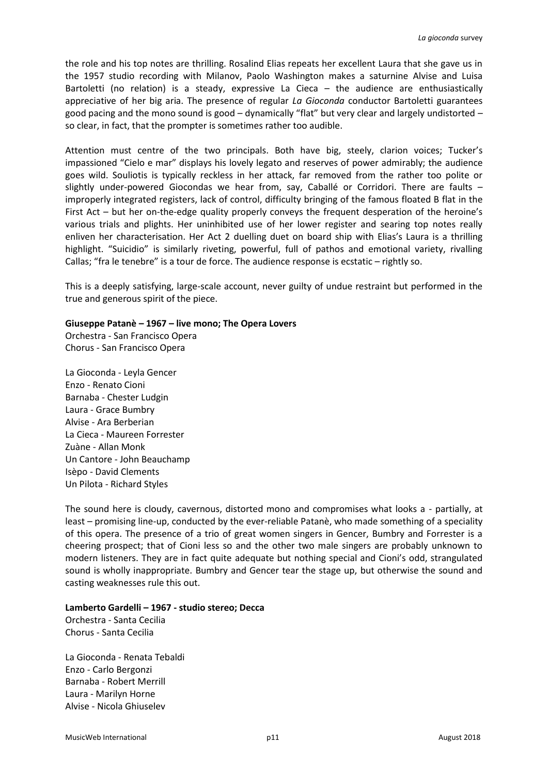the role and his top notes are thrilling. Rosalind Elias repeats her excellent Laura that she gave us in the 1957 studio recording with Milanov, Paolo Washington makes a saturnine Alvise and Luisa Bartoletti (no relation) is a steady, expressive La Cieca – the audience are enthusiastically appreciative of her big aria. The presence of regular *La Gioconda* conductor Bartoletti guarantees good pacing and the mono sound is good – dynamically "flat" but very clear and largely undistorted – so clear, in fact, that the prompter is sometimes rather too audible.

Attention must centre of the two principals. Both have big, steely, clarion voices; Tucker's impassioned "Cielo e mar" displays his lovely legato and reserves of power admirably; the audience goes wild. Souliotis is typically reckless in her attack, far removed from the rather too polite or slightly under-powered Giocondas we hear from, say, Caballé or Corridori. There are faults – improperly integrated registers, lack of control, difficulty bringing of the famous floated B flat in the First Act – but her on-the-edge quality properly conveys the frequent desperation of the heroine's various trials and plights. Her uninhibited use of her lower register and searing top notes really enliven her characterisation. Her Act 2 duelling duet on board ship with Elias's Laura is a thrilling highlight. "Suicidio" is similarly riveting, powerful, full of pathos and emotional variety, rivalling Callas; "fra le tenebre" is a tour de force. The audience response is ecstatic – rightly so.

This is a deeply satisfying, large-scale account, never guilty of undue restraint but performed in the true and generous spirit of the piece.

# **Giuseppe Patanè – 1967 – live mono; The Opera Lovers**

Orchestra - San Francisco Opera Chorus - San Francisco Opera

La Gioconda - Leyla Gencer Enzo - Renato Cioni Barnaba - Chester Ludgin Laura - Grace Bumbry Alvise - Ara Berberian La Cieca - Maureen Forrester Zuàne - Allan Monk Un Cantore - John Beauchamp Isèpo - David Clements Un Pilota - Richard Styles

The sound here is cloudy, cavernous, distorted mono and compromises what looks a - partially, at least – promising line-up, conducted by the ever-reliable Patanè, who made something of a speciality of this opera. The presence of a trio of great women singers in Gencer, Bumbry and Forrester is a cheering prospect; that of Cioni less so and the other two male singers are probably unknown to modern listeners. They are in fact quite adequate but nothing special and Cioni's odd, strangulated sound is wholly inappropriate. Bumbry and Gencer tear the stage up, but otherwise the sound and casting weaknesses rule this out.

#### **Lamberto Gardelli – 1967 - studio stereo; Decca**

Orchestra - Santa Cecilia Chorus - Santa Cecilia

La Gioconda - Renata Tebaldi Enzo - Carlo Bergonzi Barnaba - Robert Merrill Laura - Marilyn Horne Alvise - Nicola Ghiuselev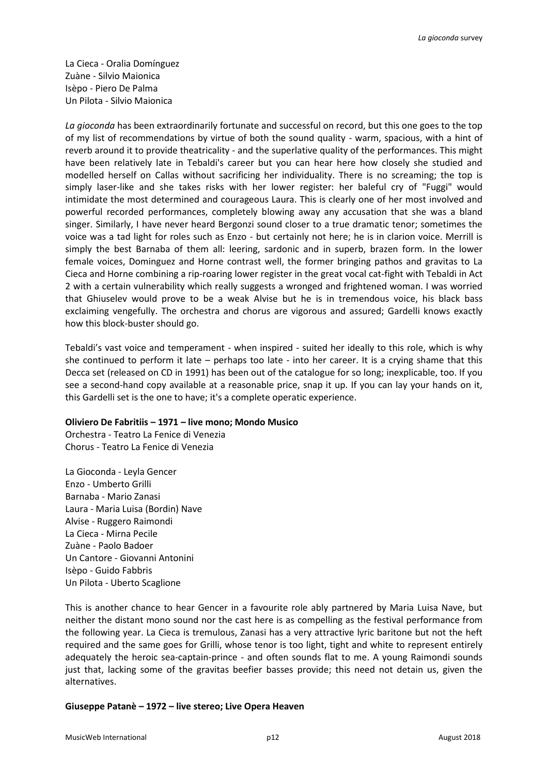La Cieca - Oralia Domínguez Zuàne - Silvio Maionica Isèpo - Piero De Palma Un Pilota - Silvio Maionica

*La gioconda* has been extraordinarily fortunate and successful on record, but this one goes to the top of my list of recommendations by virtue of both the sound quality - warm, spacious, with a hint of reverb around it to provide theatricality - and the superlative quality of the performances. This might have been relatively late in Tebaldi's career but you can hear here how closely she studied and modelled herself on Callas without sacrificing her individuality. There is no screaming; the top is simply laser-like and she takes risks with her lower register: her baleful cry of "Fuggi" would intimidate the most determined and courageous Laura. This is clearly one of her most involved and powerful recorded performances, completely blowing away any accusation that she was a bland singer. Similarly, I have never heard Bergonzi sound closer to a true dramatic tenor; sometimes the voice was a tad light for roles such as Enzo - but certainly not here; he is in clarion voice. Merrill is simply the best Barnaba of them all: leering, sardonic and in superb, brazen form. In the lower female voices, Dominguez and Horne contrast well, the former bringing pathos and gravitas to La Cieca and Horne combining a rip-roaring lower register in the great vocal cat-fight with Tebaldi in Act 2 with a certain vulnerability which really suggests a wronged and frightened woman. I was worried that Ghiuselev would prove to be a weak Alvise but he is in tremendous voice, his black bass exclaiming vengefully. The orchestra and chorus are vigorous and assured; Gardelli knows exactly how this block-buster should go.

Tebaldi's vast voice and temperament - when inspired - suited her ideally to this role, which is why she continued to perform it late – perhaps too late - into her career. It is a crying shame that this Decca set (released on CD in 1991) has been out of the catalogue for so long; inexplicable, too. If you see a second-hand copy available at a reasonable price, snap it up. If you can lay your hands on it, this Gardelli set is the one to have; it's a complete operatic experience.

# **Oliviero De Fabritiis – 1971 – live mono; Mondo Musico**

Orchestra - Teatro La Fenice di Venezia Chorus - Teatro La Fenice di Venezia

La Gioconda - Leyla Gencer Enzo - Umberto Grilli Barnaba - Mario Zanasi Laura - Maria Luisa (Bordin) Nave Alvise - Ruggero Raimondi La Cieca - Mirna Pecile Zuàne - Paolo Badoer Un Cantore - Giovanni Antonini Isèpo - Guido Fabbris Un Pilota - Uberto Scaglione

This is another chance to hear Gencer in a favourite role ably partnered by Maria Luisa Nave, but neither the distant mono sound nor the cast here is as compelling as the festival performance from the following year. La Cieca is tremulous, Zanasi has a very attractive lyric baritone but not the heft required and the same goes for Grilli, whose tenor is too light, tight and white to represent entirely adequately the heroic sea-captain-prince - and often sounds flat to me. A young Raimondi sounds just that, lacking some of the gravitas beefier basses provide; this need not detain us, given the alternatives.

# **Giuseppe Patanè – 1972 – live stereo; Live Opera Heaven**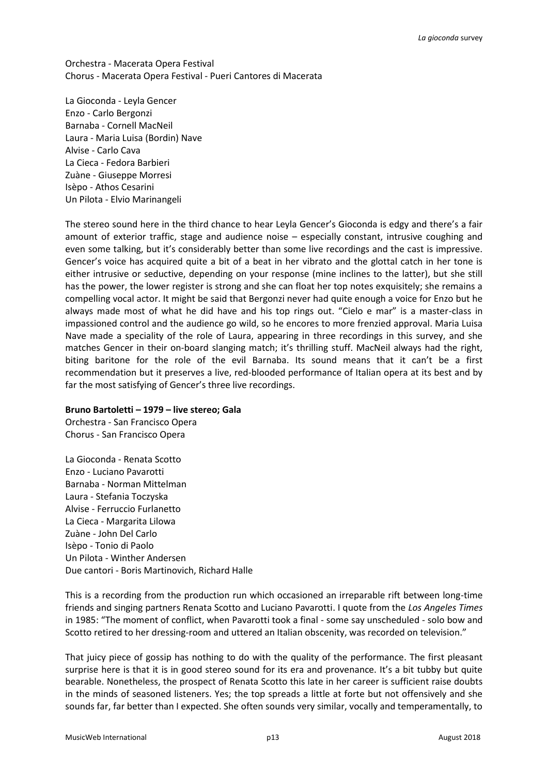Orchestra - Macerata Opera Festival Chorus - Macerata Opera Festival - Pueri Cantores di Macerata

La Gioconda - Leyla Gencer Enzo - Carlo Bergonzi Barnaba - Cornell MacNeil Laura - Maria Luisa (Bordin) Nave Alvise - Carlo Cava La Cieca - Fedora Barbieri Zuàne - Giuseppe Morresi Isèpo - Athos Cesarini Un Pilota - Elvio Marinangeli

The stereo sound here in the third chance to hear Leyla Gencer's Gioconda is edgy and there's a fair amount of exterior traffic, stage and audience noise – especially constant, intrusive coughing and even some talking, but it's considerably better than some live recordings and the cast is impressive. Gencer's voice has acquired quite a bit of a beat in her vibrato and the glottal catch in her tone is either intrusive or seductive, depending on your response (mine inclines to the latter), but she still has the power, the lower register is strong and she can float her top notes exquisitely; she remains a compelling vocal actor. It might be said that Bergonzi never had quite enough a voice for Enzo but he always made most of what he did have and his top rings out. "Cielo e mar" is a master-class in impassioned control and the audience go wild, so he encores to more frenzied approval. Maria Luisa Nave made a speciality of the role of Laura, appearing in three recordings in this survey, and she matches Gencer in their on-board slanging match; it's thrilling stuff. MacNeil always had the right, biting baritone for the role of the evil Barnaba. Its sound means that it can't be a first recommendation but it preserves a live, red-blooded performance of Italian opera at its best and by far the most satisfying of Gencer's three live recordings.

# **Bruno Bartoletti – 1979 – live stereo; Gala**

Orchestra - San Francisco Opera Chorus - San Francisco Opera

La Gioconda - Renata Scotto Enzo - Luciano Pavarotti Barnaba - Norman Mittelman Laura - Stefania Toczyska Alvise - Ferruccio Furlanetto La Cieca - Margarita Lilowa Zuàne - John Del Carlo Isèpo - Tonio di Paolo Un Pilota - Winther Andersen Due cantori - Boris Martinovich, Richard Halle

This is a recording from the production run which occasioned an irreparable rift between long-time friends and singing partners Renata Scotto and Luciano Pavarotti. I quote from the *Los Angeles Times* in 1985: "The moment of conflict, when Pavarotti took a final - some say unscheduled - solo bow and Scotto retired to her dressing-room and uttered an Italian obscenity, was recorded on television."

That juicy piece of gossip has nothing to do with the quality of the performance. The first pleasant surprise here is that it is in good stereo sound for its era and provenance. It's a bit tubby but quite bearable. Nonetheless, the prospect of Renata Scotto this late in her career is sufficient raise doubts in the minds of seasoned listeners. Yes; the top spreads a little at forte but not offensively and she sounds far, far better than I expected. She often sounds very similar, vocally and temperamentally, to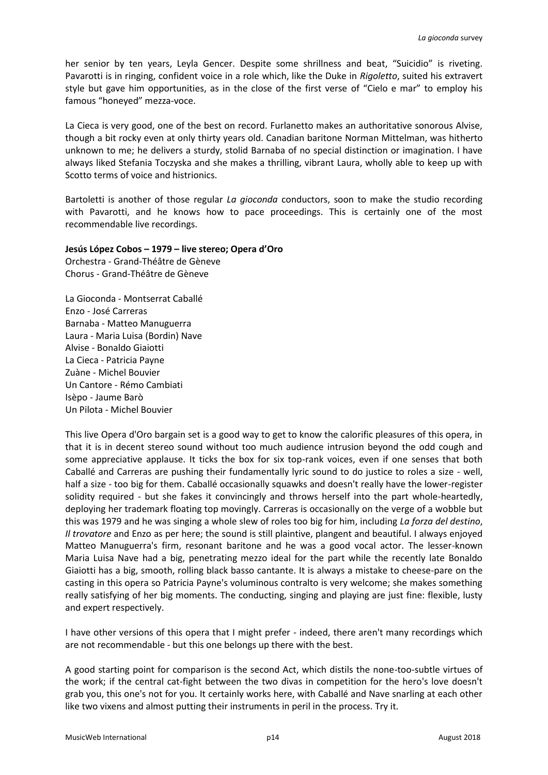her senior by ten years, Leyla Gencer. Despite some shrillness and beat, "Suicidio" is riveting. Pavarotti is in ringing, confident voice in a role which, like the Duke in *Rigoletto*, suited his extravert style but gave him opportunities, as in the close of the first verse of "Cielo e mar" to employ his famous "honeyed" mezza-voce.

La Cieca is very good, one of the best on record. Furlanetto makes an authoritative sonorous Alvise, though a bit rocky even at only thirty years old. Canadian baritone Norman Mittelman, was hitherto unknown to me; he delivers a sturdy, stolid Barnaba of no special distinction or imagination. I have always liked Stefania Toczyska and she makes a thrilling, vibrant Laura, wholly able to keep up with Scotto terms of voice and histrionics.

Bartoletti is another of those regular *La gioconda* conductors, soon to make the studio recording with Pavarotti, and he knows how to pace proceedings. This is certainly one of the most recommendable live recordings.

# **Jesús López Cobos – 1979 – live stereo; Opera d'Oro**

Orchestra - Grand-Théâtre de Gèneve Chorus - Grand-Théâtre de Gèneve

La Gioconda - Montserrat Caballé Enzo - José Carreras Barnaba - Matteo Manuguerra Laura - Maria Luisa (Bordin) Nave Alvise - Bonaldo Giaiotti La Cieca - Patricia Payne Zuàne - Michel Bouvier Un Cantore - Rémo Cambiati Isèpo - Jaume Barò Un Pilota - Michel Bouvier

This live Opera d'Oro bargain set is a good way to get to know the calorific pleasures of this opera, in that it is in decent stereo sound without too much audience intrusion beyond the odd cough and some appreciative applause. It ticks the box for six top-rank voices, even if one senses that both Caballé and Carreras are pushing their fundamentally lyric sound to do justice to roles a size - well, half a size - too big for them. Caballé occasionally squawks and doesn't really have the lower-register solidity required - but she fakes it convincingly and throws herself into the part whole-heartedly, deploying her trademark floating top movingly. Carreras is occasionally on the verge of a wobble but this was 1979 and he was singing a whole slew of roles too big for him, including *La forza del destino*, *Il trovatore* and Enzo as per here; the sound is still plaintive, plangent and beautiful. I always enjoyed Matteo Manuguerra's firm, resonant baritone and he was a good vocal actor. The lesser-known Maria Luisa Nave had a big, penetrating mezzo ideal for the part while the recently late Bonaldo Giaiotti has a big, smooth, rolling black basso cantante. It is always a mistake to cheese-pare on the casting in this opera so Patricia Payne's voluminous contralto is very welcome; she makes something really satisfying of her big moments. The conducting, singing and playing are just fine: flexible, lusty and expert respectively.

I have other versions of this opera that I might prefer - indeed, there aren't many recordings which are not recommendable - but this one belongs up there with the best.

A good starting point for comparison is the second Act, which distils the none-too-subtle virtues of the work; if the central cat-fight between the two divas in competition for the hero's love doesn't grab you, this one's not for you. It certainly works here, with Caballé and Nave snarling at each other like two vixens and almost putting their instruments in peril in the process. Try it.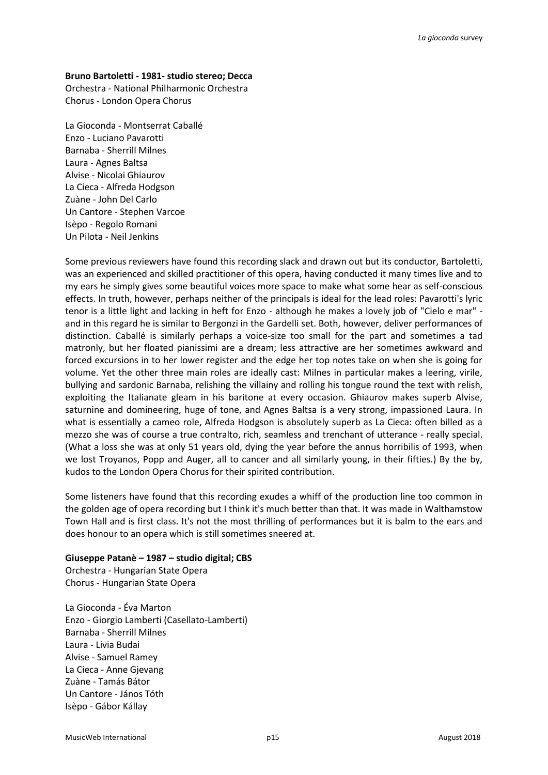#### **Bruno Bartoletti - 1981- studio stereo; Decca**

Orchestra - National Philharmonic Orchestra Chorus - London Opera Chorus

La Gioconda - Montserrat Caballé Enzo - Luciano Pavarotti Barnaba - Sherrill Milnes Laura - Agnes Baltsa Alvise - Nicolai Ghiaurov La Cieca - Alfreda Hodgson Zuàne - John Del Carlo Un Cantore - Stephen Varcoe Isèpo - Regolo Romani Un Pilota - Neil Jenkins

Some previous reviewers have found this recording slack and drawn out but its conductor, Bartoletti, was an experienced and skilled practitioner of this opera, having conducted it many times live and to my ears he simply gives some beautiful voices more space to make what some hear as self-conscious effects. In truth, however, perhaps neither of the principals is ideal for the lead roles: Pavarotti's lyric tenor is a little light and lacking in heft for Enzo - although he makes a lovely job of "Cielo e mar" and in this regard he is similar to Bergonzi in the Gardelli set. Both, however, deliver performances of distinction. Caballé is similarly perhaps a voice-size too small for the part and sometimes a tad matronly, but her floated pianissimi are a dream; less attractive are her sometimes awkward and forced excursions in to her lower register and the edge her top notes take on when she is going for volume. Yet the other three main roles are ideally cast: Milnes in particular makes a leering, virile, bullying and sardonic Barnaba, relishing the villainy and rolling his tongue round the text with relish, exploiting the Italianate gleam in his baritone at every occasion. Ghiaurov makes superb Alvise, saturnine and domineering, huge of tone, and Agnes Baltsa is a very strong, impassioned Laura. In what is essentially a cameo role, Alfreda Hodgson is absolutely superb as La Cieca: often billed as a mezzo she was of course a true contralto, rich, seamless and trenchant of utterance - really special. (What a loss she was at only 51 years old, dying the year before the annus horribilis of 1993, when we lost Troyanos, Popp and Auger, all to cancer and all similarly young, in their fifties.) By the by, kudos to the London Opera Chorus for their spirited contribution.

Some listeners have found that this recording exudes a whiff of the production line too common in the golden age of opera recording but I think it's much better than that. It was made in Walthamstow Town Hall and is first class. It's not the most thrilling of performances but it is balm to the ears and does honour to an opera which is still sometimes sneered at.

#### **Giuseppe Patanè – 1987 – studio digital; CBS**

Orchestra - Hungarian State Opera Chorus - Hungarian State Opera

La Gioconda - Éva Marton Enzo - Giorgio Lamberti (Casellato-Lamberti) Barnaba - Sherrill Milnes Laura - Livia Budai Alvise - Samuel Ramey La Cieca - Anne Gjevang Zuàne - Tamás Bátor Un Cantore - János Tóth Isèpo - Gábor Kállay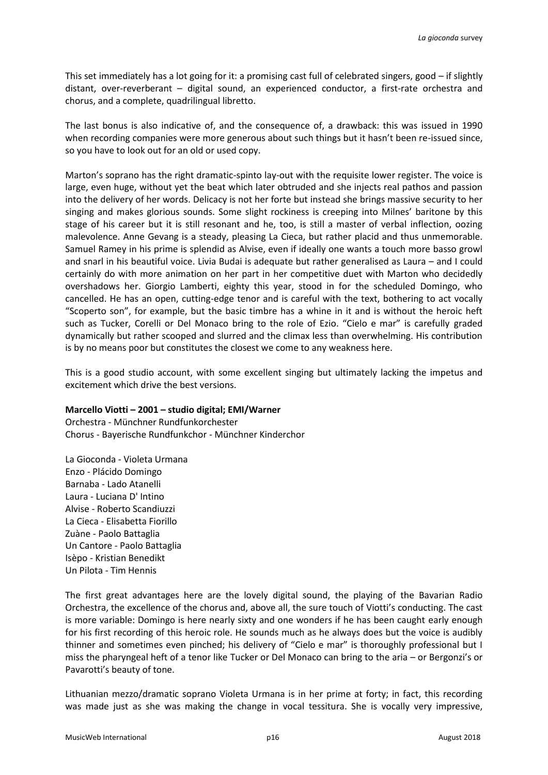This set immediately has a lot going for it: a promising cast full of celebrated singers, good – if slightly distant, over-reverberant – digital sound, an experienced conductor, a first-rate orchestra and chorus, and a complete, quadrilingual libretto.

The last bonus is also indicative of, and the consequence of, a drawback: this was issued in 1990 when recording companies were more generous about such things but it hasn't been re-issued since, so you have to look out for an old or used copy.

Marton's soprano has the right dramatic-spinto lay-out with the requisite lower register. The voice is large, even huge, without yet the beat which later obtruded and she injects real pathos and passion into the delivery of her words. Delicacy is not her forte but instead she brings massive security to her singing and makes glorious sounds. Some slight rockiness is creeping into Milnes' baritone by this stage of his career but it is still resonant and he, too, is still a master of verbal inflection, oozing malevolence. Anne Gevang is a steady, pleasing La Cieca, but rather placid and thus unmemorable. Samuel Ramey in his prime is splendid as Alvise, even if ideally one wants a touch more basso growl and snarl in his beautiful voice. Livia Budai is adequate but rather generalised as Laura – and I could certainly do with more animation on her part in her competitive duet with Marton who decidedly overshadows her. Giorgio Lamberti, eighty this year, stood in for the scheduled Domingo, who cancelled. He has an open, cutting-edge tenor and is careful with the text, bothering to act vocally "Scoperto son", for example, but the basic timbre has a whine in it and is without the heroic heft such as Tucker, Corelli or Del Monaco bring to the role of Ezio. "Cielo e mar" is carefully graded dynamically but rather scooped and slurred and the climax less than overwhelming. His contribution is by no means poor but constitutes the closest we come to any weakness here.

This is a good studio account, with some excellent singing but ultimately lacking the impetus and excitement which drive the best versions.

# **Marcello Viotti – 2001 – studio digital; EMI/Warner**

Orchestra - Münchner Rundfunkorchester Chorus - Bayerische Rundfunkchor - Münchner Kinderchor

La Gioconda - Violeta Urmana Enzo - Plácido Domingo Barnaba - Lado Atanelli Laura - Luciana D' Intino Alvise - Roberto Scandiuzzi La Cieca - Elisabetta Fiorillo Zuàne - Paolo Battaglia Un Cantore - Paolo Battaglia Isèpo - Kristian Benedikt Un Pilota - Tim Hennis

The first great advantages here are the lovely digital sound, the playing of the Bavarian Radio Orchestra, the excellence of the chorus and, above all, the sure touch of Viotti's conducting. The cast is more variable: Domingo is here nearly sixty and one wonders if he has been caught early enough for his first recording of this heroic role. He sounds much as he always does but the voice is audibly thinner and sometimes even pinched; his delivery of "Cielo e mar" is thoroughly professional but I miss the pharyngeal heft of a tenor like Tucker or Del Monaco can bring to the aria – or Bergonzi's or Pavarotti's beauty of tone.

Lithuanian mezzo/dramatic soprano Violeta Urmana is in her prime at forty; in fact, this recording was made just as she was making the change in vocal tessitura. She is vocally very impressive,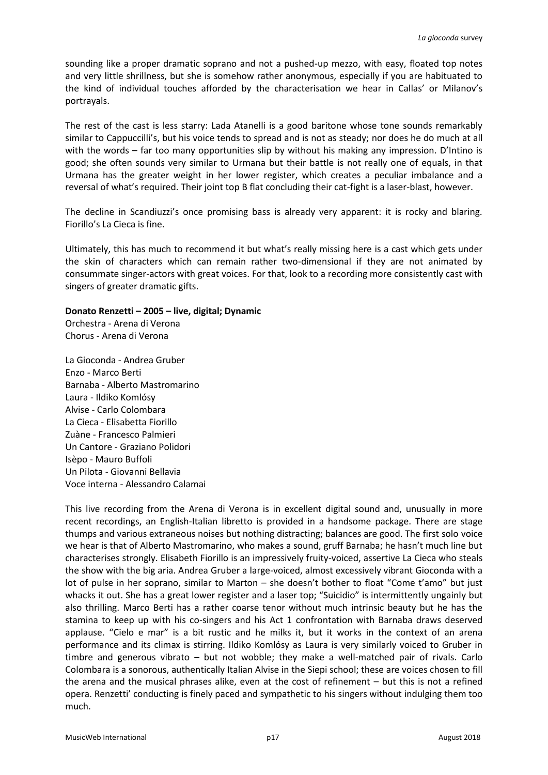sounding like a proper dramatic soprano and not a pushed-up mezzo, with easy, floated top notes and very little shrillness, but she is somehow rather anonymous, especially if you are habituated to the kind of individual touches afforded by the characterisation we hear in Callas' or Milanov's portrayals.

The rest of the cast is less starry: Lada Atanelli is a good baritone whose tone sounds remarkably similar to Cappuccilli's, but his voice tends to spread and is not as steady; nor does he do much at all with the words – far too many opportunities slip by without his making any impression. D'Intino is good; she often sounds very similar to Urmana but their battle is not really one of equals, in that Urmana has the greater weight in her lower register, which creates a peculiar imbalance and a reversal of what's required. Their joint top B flat concluding their cat-fight is a laser-blast, however.

The decline in Scandiuzzi's once promising bass is already very apparent: it is rocky and blaring. Fiorillo's La Cieca is fine.

Ultimately, this has much to recommend it but what's really missing here is a cast which gets under the skin of characters which can remain rather two-dimensional if they are not animated by consummate singer-actors with great voices. For that, look to a recording more consistently cast with singers of greater dramatic gifts.

### **Donato Renzetti – 2005 – live, digital; Dynamic**

Orchestra - Arena di Verona Chorus - Arena di Verona

La Gioconda - Andrea Gruber Enzo - Marco Berti Barnaba - Alberto Mastromarino Laura - Ildiko Komlósy Alvise - Carlo Colombara La Cieca - Elisabetta Fiorillo Zuàne - Francesco Palmieri Un Cantore - Graziano Polidori Isèpo - Mauro Buffoli Un Pilota - Giovanni Bellavia Voce interna - Alessandro Calamai

This live recording from the Arena di Verona is in excellent digital sound and, unusually in more recent recordings, an English-Italian libretto is provided in a handsome package. There are stage thumps and various extraneous noises but nothing distracting; balances are good. The first solo voice we hear is that of Alberto Mastromarino, who makes a sound, gruff Barnaba; he hasn't much line but characterises strongly. Elisabeth Fiorillo is an impressively fruity-voiced, assertive La Cieca who steals the show with the big aria. Andrea Gruber a large-voiced, almost excessively vibrant Gioconda with a lot of pulse in her soprano, similar to Marton – she doesn't bother to float "Come t'amo" but just whacks it out. She has a great lower register and a laser top; "Suicidio" is intermittently ungainly but also thrilling. Marco Berti has a rather coarse tenor without much intrinsic beauty but he has the stamina to keep up with his co-singers and his Act 1 confrontation with Barnaba draws deserved applause. "Cielo e mar" is a bit rustic and he milks it, but it works in the context of an arena performance and its climax is stirring. Ildiko Komlósy as Laura is very similarly voiced to Gruber in timbre and generous vibrato – but not wobble; they make a well-matched pair of rivals. Carlo Colombara is a sonorous, authentically Italian Alvise in the Siepi school; these are voices chosen to fill the arena and the musical phrases alike, even at the cost of refinement – but this is not a refined opera. Renzetti' conducting is finely paced and sympathetic to his singers without indulging them too much.